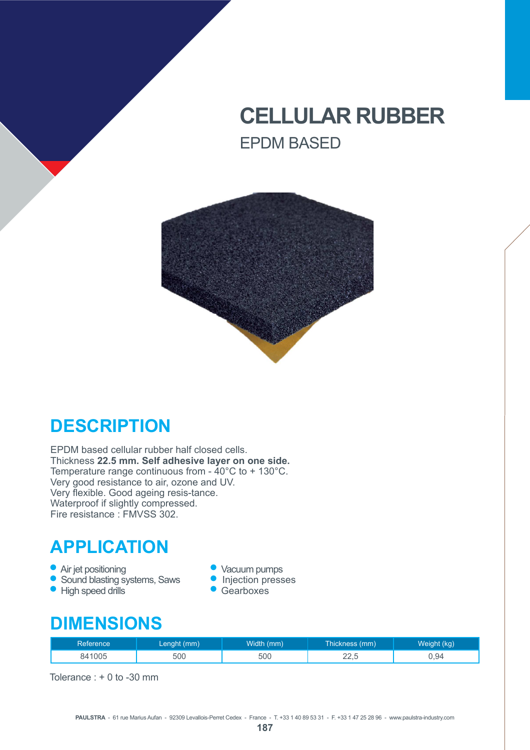# **CELLULAR RUBBER** EPDM BASED



### **DESCRIPTION**

EPDM based cellular rubber half closed cells. Thickness **22.5 mm. Self adhesive layer on one side.** Temperature range continuous from - 40°C to + 130°C. Very good resistance to air, ozone and UV. Very flexible. Good ageing resis-tance. Waterproof if slightly compressed. Fire resistance : FMVSS 302.

## **APPLICATION**

- 
- Air jet positioning versus vacuum pumps<br>• Sound blasting systems, Saws Injection presses • Sound blasting systems, Saws • Injection pr<br>• High speed drills • Gearboxes
- $\bullet$  High speed drills
- 
- 
- 

### **DIMENSIONS**

| Reference | Lenght (mm) | <b>Width in</b><br>(mm) | Thickness (mm) | t (kg)<br>Weight ( |
|-----------|-------------|-------------------------|----------------|--------------------|
| 841005    | 500         | 500                     | $\cap$<br>44.J | 94.ل               |

Tolerance : + 0 to -30 mm